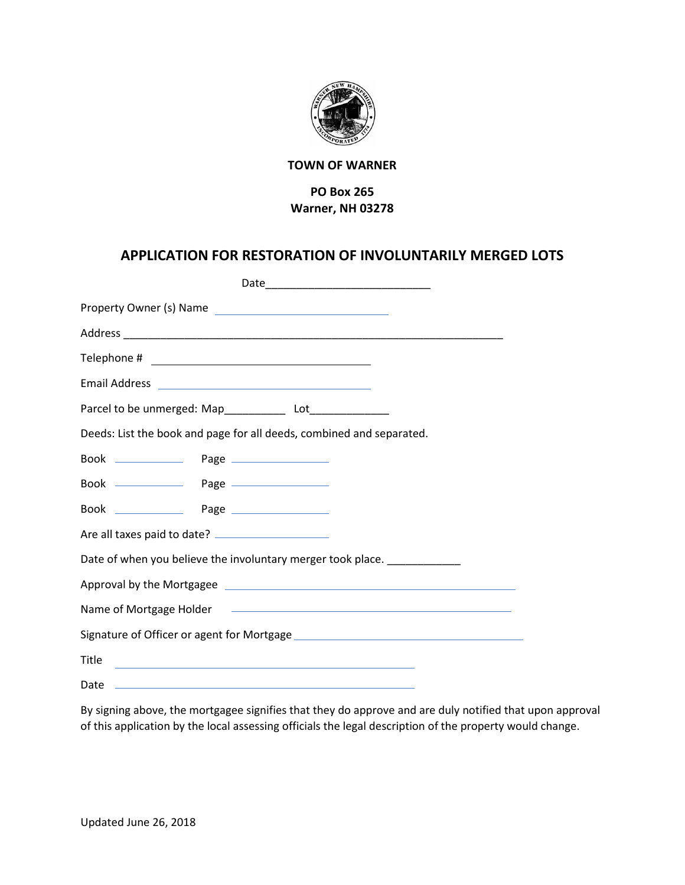

## **TOWN OF WARNER**

## **PO Box 265 Warner, NH 03278**

## **APPLICATION FOR RESTORATION OF INVOLUNTARILY MERGED LOTS**

| Property Owner (s) Name                                                                                                        |  |  |  |  |
|--------------------------------------------------------------------------------------------------------------------------------|--|--|--|--|
|                                                                                                                                |  |  |  |  |
|                                                                                                                                |  |  |  |  |
|                                                                                                                                |  |  |  |  |
| Parcel to be unmerged: Map_____________ Lot_______________                                                                     |  |  |  |  |
| Deeds: List the book and page for all deeds, combined and separated.                                                           |  |  |  |  |
|                                                                                                                                |  |  |  |  |
|                                                                                                                                |  |  |  |  |
|                                                                                                                                |  |  |  |  |
|                                                                                                                                |  |  |  |  |
| Date of when you believe the involuntary merger took place.                                                                    |  |  |  |  |
|                                                                                                                                |  |  |  |  |
|                                                                                                                                |  |  |  |  |
|                                                                                                                                |  |  |  |  |
| Title<br><u> 1989 - Johann Stein, marwolaethau a bhann an t-Amhain ann an t-Amhain an t-Amhain an t-Amhain an t-Amhain an </u> |  |  |  |  |
| Date<br>and the control of the control of the control of the control of the control of the control of the control of the       |  |  |  |  |

By signing above, the mortgagee signifies that they do approve and are duly notified that upon approval of this application by the local assessing officials the legal description of the property would change.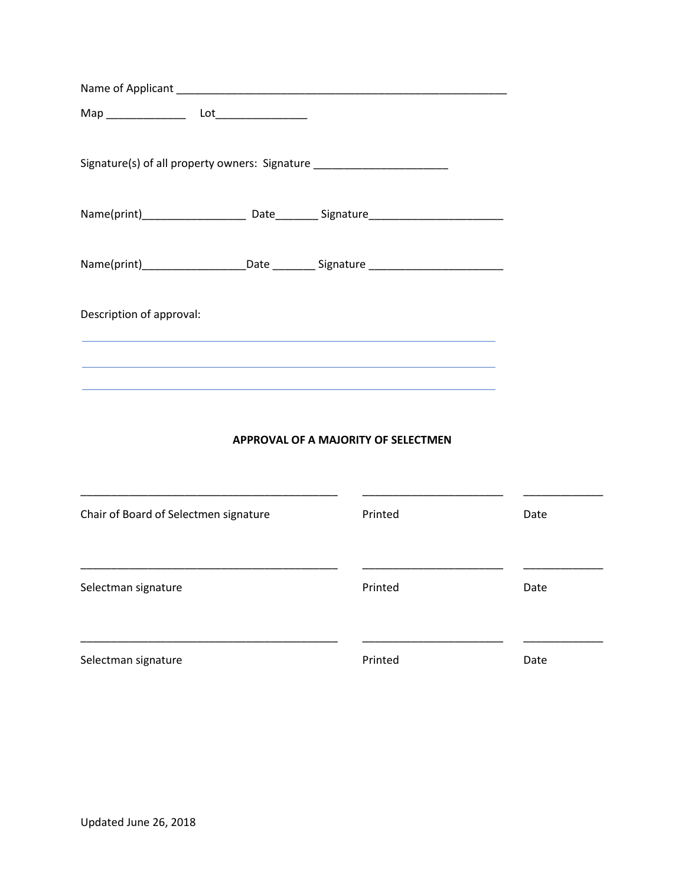| Signature(s) of all property owners: Signature ___________________________                                                                                                                                 |  |  |
|------------------------------------------------------------------------------------------------------------------------------------------------------------------------------------------------------------|--|--|
|                                                                                                                                                                                                            |  |  |
| Name(print)_______________________Date ____________Signature ____________________                                                                                                                          |  |  |
| Description of approval:                                                                                                                                                                                   |  |  |
| <u> 1989 - Johann Stoff, deutscher Stoff, der Stoff, der Stoff, der Stoff, der Stoff, der Stoff, der Stoff, der S</u><br>,我们也不能在这里的时候,我们也不能在这里的时候,我们也不能会在这里的时候,我们也不能会在这里的时候,我们也不能会在这里的时候,我们也不能会在这里的时候,我们也不 |  |  |
|                                                                                                                                                                                                            |  |  |

### **APPROVAL OF A MAJORITY OF SELECTMEN**

| Chair of Board of Selectmen signature | Printed | Date |
|---------------------------------------|---------|------|
| Selectman signature                   | Printed | Date |
| Selectman signature                   | Printed | Date |